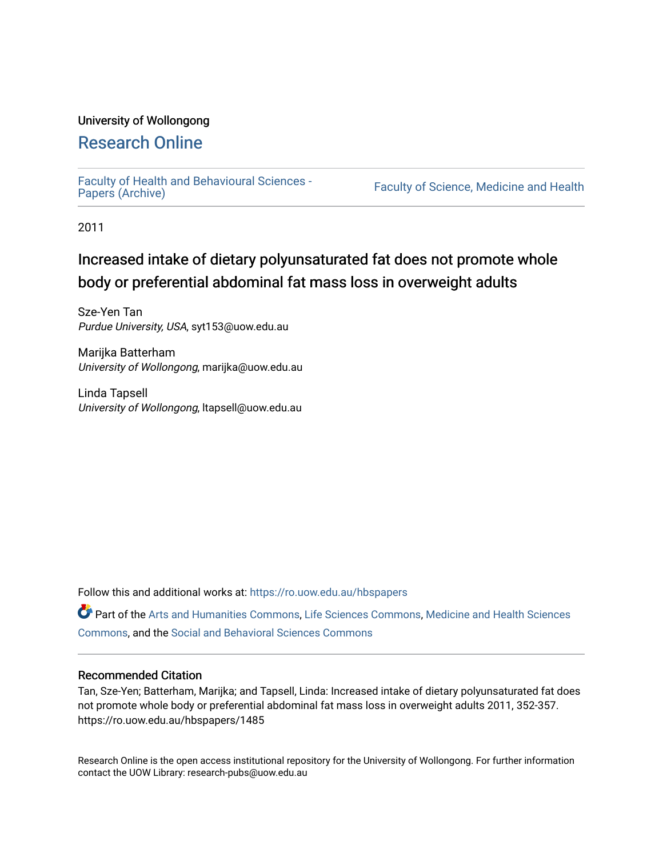# University of Wollongong

# [Research Online](https://ro.uow.edu.au/)

[Faculty of Health and Behavioural Sciences -](https://ro.uow.edu.au/hbspapers)<br>Papers (Archive)

Faculty of Science, Medicine and Health

2011

# Increased intake of dietary polyunsaturated fat does not promote whole body or preferential abdominal fat mass loss in overweight adults

Sze-Yen Tan Purdue University, USA, syt153@uow.edu.au

Marijka Batterham University of Wollongong, marijka@uow.edu.au

Linda Tapsell University of Wollongong, ltapsell@uow.edu.au

Follow this and additional works at: [https://ro.uow.edu.au/hbspapers](https://ro.uow.edu.au/hbspapers?utm_source=ro.uow.edu.au%2Fhbspapers%2F1485&utm_medium=PDF&utm_campaign=PDFCoverPages) 

Part of the [Arts and Humanities Commons,](http://network.bepress.com/hgg/discipline/438?utm_source=ro.uow.edu.au%2Fhbspapers%2F1485&utm_medium=PDF&utm_campaign=PDFCoverPages) [Life Sciences Commons,](http://network.bepress.com/hgg/discipline/1016?utm_source=ro.uow.edu.au%2Fhbspapers%2F1485&utm_medium=PDF&utm_campaign=PDFCoverPages) [Medicine and Health Sciences](http://network.bepress.com/hgg/discipline/648?utm_source=ro.uow.edu.au%2Fhbspapers%2F1485&utm_medium=PDF&utm_campaign=PDFCoverPages) [Commons](http://network.bepress.com/hgg/discipline/648?utm_source=ro.uow.edu.au%2Fhbspapers%2F1485&utm_medium=PDF&utm_campaign=PDFCoverPages), and the [Social and Behavioral Sciences Commons](http://network.bepress.com/hgg/discipline/316?utm_source=ro.uow.edu.au%2Fhbspapers%2F1485&utm_medium=PDF&utm_campaign=PDFCoverPages)

# Recommended Citation

Tan, Sze-Yen; Batterham, Marijka; and Tapsell, Linda: Increased intake of dietary polyunsaturated fat does not promote whole body or preferential abdominal fat mass loss in overweight adults 2011, 352-357. https://ro.uow.edu.au/hbspapers/1485

Research Online is the open access institutional repository for the University of Wollongong. For further information contact the UOW Library: research-pubs@uow.edu.au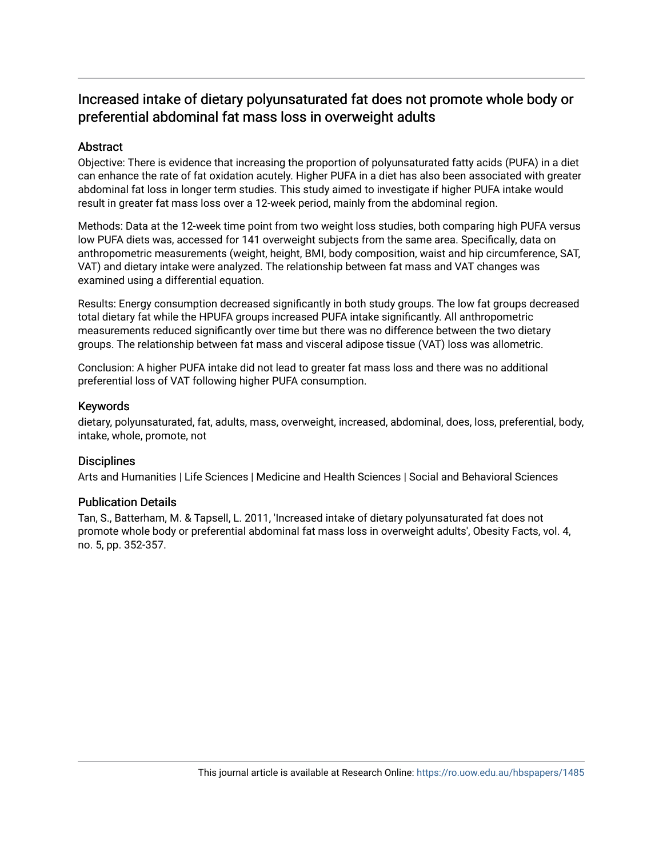# Increased intake of dietary polyunsaturated fat does not promote whole body or preferential abdominal fat mass loss in overweight adults

# **Abstract**

Objective: There is evidence that increasing the proportion of polyunsaturated fatty acids (PUFA) in a diet can enhance the rate of fat oxidation acutely. Higher PUFA in a diet has also been associated with greater abdominal fat loss in longer term studies. This study aimed to investigate if higher PUFA intake would result in greater fat mass loss over a 12-week period, mainly from the abdominal region.

Methods: Data at the 12-week time point from two weight loss studies, both comparing high PUFA versus low PUFA diets was, accessed for 141 overweight subjects from the same area. Specifically, data on anthropometric measurements (weight, height, BMI, body composition, waist and hip circumference, SAT, VAT) and dietary intake were analyzed. The relationship between fat mass and VAT changes was examined using a differential equation.

Results: Energy consumption decreased significantly in both study groups. The low fat groups decreased total dietary fat while the HPUFA groups increased PUFA intake significantly. All anthropometric measurements reduced significantly over time but there was no difference between the two dietary groups. The relationship between fat mass and visceral adipose tissue (VAT) loss was allometric.

Conclusion: A higher PUFA intake did not lead to greater fat mass loss and there was no additional preferential loss of VAT following higher PUFA consumption.

# Keywords

dietary, polyunsaturated, fat, adults, mass, overweight, increased, abdominal, does, loss, preferential, body, intake, whole, promote, not

# **Disciplines**

Arts and Humanities | Life Sciences | Medicine and Health Sciences | Social and Behavioral Sciences

# Publication Details

Tan, S., Batterham, M. & Tapsell, L. 2011, 'Increased intake of dietary polyunsaturated fat does not promote whole body or preferential abdominal fat mass loss in overweight adults', Obesity Facts, vol. 4, no. 5, pp. 352-357.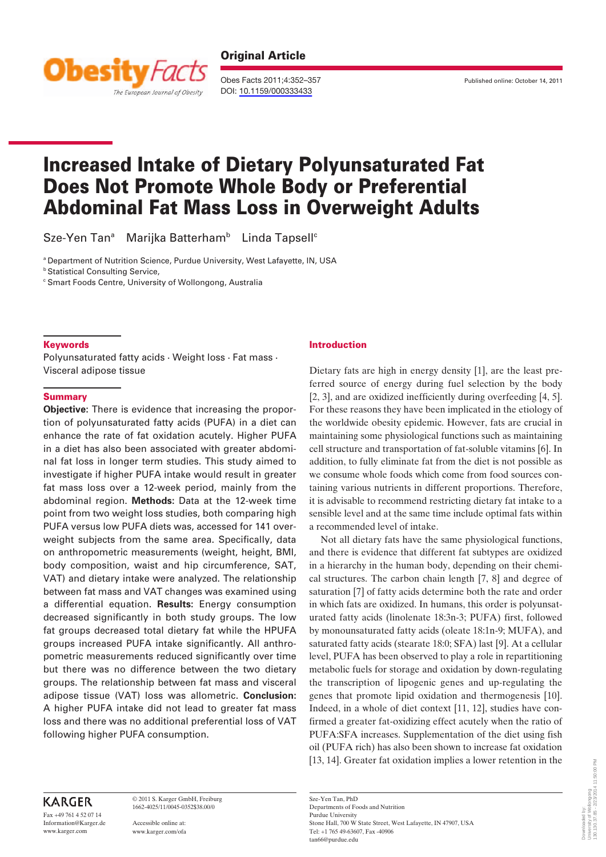

# **Original Article**

Obes Facts 2011;4:352–357 Published online: October 14, 2011 DOI: [10.1159/000333433](http://dx.doi.org/10.1159%2F000333433)

# **Increased Intake of Dietary Polyunsaturated Fat Does Not Promote Whole Body or Preferential Abdominal Fat Mass Loss in Overweight Adults**

Sze-Yen Tan<sup>a</sup> Marijka Batterham<sup>b</sup> Linda Tapsell<sup>c</sup>

<sup>a</sup> Department of Nutrition Science, Purdue University, West Lafayette, IN, USA

**b Statistical Consulting Service,** 

c Smart Foods Centre, University of Wollongong, Australia

### **Keywords**

Polyunsaturated fatty acids · Weight loss · Fat mass · Visceral adipose tissue

### **Summary**

**Objective:** There is evidence that increasing the proportion of polyunsaturated fatty acids (PUFA) in a diet can enhance the rate of fat oxidation acutely. Higher PUFA in a diet has also been associated with greater abdominal fat loss in longer term studies. This study aimed to investigate if higher PUFA intake would result in greater fat mass loss over a 12-week period, mainly from the abdominal region. **Methods:** Data at the 12-week time point from two weight loss studies, both comparing high PUFA versus low PUFA diets was, accessed for 141 overweight subjects from the same area. Specifically, data on anthropometric measurements (weight, height, BMI, body composition, waist and hip circumference, SAT, VAT) and dietary intake were analyzed. The relationship between fat mass and VAT changes was examined using a differential equation. **Results:** Energy consumption decreased significantly in both study groups. The low fat groups decreased total dietary fat while the HPUFA groups increased PUFA intake significantly. All anthropometric measurements reduced significantly over time but there was no difference between the two dietary groups. The relationship between fat mass and visceral adipose tissue (VAT) loss was allometric. **Conclusion:** A higher PUFA intake did not lead to greater fat mass loss and there was no additional preferential loss of VAT following higher PUFA consumption.

## **Introduction**

Dietary fats are high in energy density [1], are the least preferred source of energy during fuel selection by the body [2, 3], and are oxidized inefficiently during overfeeding [4, 5]. For these reasons they have been implicated in the etiology of the worldwide obesity epidemic. However, fats are crucial in maintaining some physiological functions such as maintaining cell structure and transportation of fat-soluble vitamins [6]. In addition, to fully eliminate fat from the diet is not possible as we consume whole foods which come from food sources containing various nutrients in different proportions. Therefore, it is advisable to recommend restricting dietary fat intake to a sensible level and at the same time include optimal fats within a recommended level of intake.

Not all dietary fats have the same physiological functions, and there is evidence that different fat subtypes are oxidized in a hierarchy in the human body, depending on their chemical structures. The carbon chain length [7, 8] and degree of saturation [7] of fatty acids determine both the rate and order in which fats are oxidized. In humans, this order is polyunsaturated fatty acids (linolenate 18:3n-3; PUFA) first, followed by monounsaturated fatty acids (oleate 18:1n-9; MUFA), and saturated fatty acids (stearate 18:0; SFA) last [9]. At a cellular level, PUFA has been observed to play a role in repartitioning metabolic fuels for storage and oxidation by down-regulating the transcription of lipogenic genes and up-regulating the genes that promote lipid oxidation and thermogenesis [10]. Indeed, in a whole of diet context [11, 12], studies have confirmed a greater fat-oxidizing effect acutely when the ratio of PUFA:SFA increases. Supplementation of the diet using fish oil (PUFA rich) has also been shown to increase fat oxidation [13, 14]. Greater fat oxidation implies a lower retention in the

**KARGER** Fax +49 761 4 52 07 14

Information@Karger.de www.karger.com

© 2011 S. Karger GmbH, Freiburg 1662-4025/11/0045-0352\$38.00/0

Accessible online at: www.karger.com/ofa Sze-Yen Tan, PhD Departments of Foods and Nutrition Purdue University Stone Hall, 700 W State Street, West Lafayette, IN 47907, USA Tel: +1 765 49-63607, Fax -40906 tan66@purdue.edu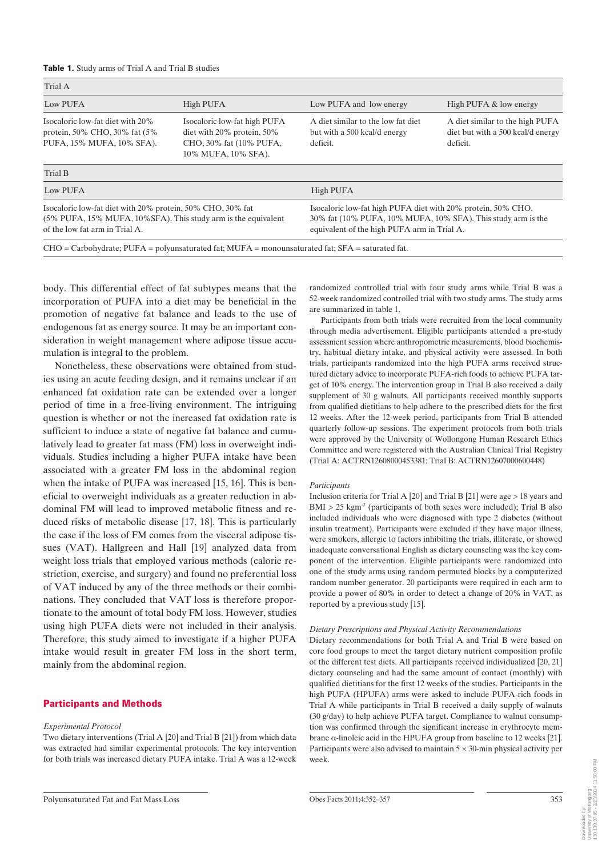**Table 1.** Study arms of Trial A and Trial B studies

| Trial A                                                                                                                                                       |                                                                                                                    |                                                                                                                                                                             |                                                                                  |  |  |
|---------------------------------------------------------------------------------------------------------------------------------------------------------------|--------------------------------------------------------------------------------------------------------------------|-----------------------------------------------------------------------------------------------------------------------------------------------------------------------------|----------------------------------------------------------------------------------|--|--|
| Low PUFA<br>High PUFA                                                                                                                                         |                                                                                                                    | Low PUFA and low energy                                                                                                                                                     | High PUFA & low energy                                                           |  |  |
| Isocaloric low-fat diet with 20%<br>protein, 50% CHO, 30% fat (5%)<br>PUFA, 15% MUFA, 10% SFA).                                                               | Isocaloric low-fat high PUFA<br>diet with $20\%$ protein, $50\%$<br>CHO, 30% fat (10% PUFA,<br>10% MUFA, 10% SFA). | A diet similar to the low fat diet<br>but with a 500 kcal/d energy<br>deficit.                                                                                              | A diet similar to the high PUFA<br>diet but with a 500 kcal/d energy<br>deficit. |  |  |
| Trial B                                                                                                                                                       |                                                                                                                    |                                                                                                                                                                             |                                                                                  |  |  |
| Low PUFA                                                                                                                                                      |                                                                                                                    | High PUFA                                                                                                                                                                   |                                                                                  |  |  |
| Isocaloric low-fat diet with 20% protein, 50% CHO, 30% fat<br>(5% PUFA, 15% MUFA, 10%SFA). This study arm is the equivalent<br>of the low fat arm in Trial A. |                                                                                                                    | Isocaloric low-fat high PUFA diet with 20% protein, 50% CHO,<br>30% fat (10% PUFA, 10% MUFA, 10% SFA). This study arm is the<br>equivalent of the high PUFA arm in Trial A. |                                                                                  |  |  |
| $CHO = Carbohydrate$ ; PUFA = polyunsaturated fat; MUFA = monounsaturated fat; SFA = saturated fat.                                                           |                                                                                                                    |                                                                                                                                                                             |                                                                                  |  |  |

body. This differential effect of fat subtypes means that the incorporation of PUFA into a diet may be beneficial in the promotion of negative fat balance and leads to the use of endogenous fat as energy source. It may be an important consideration in weight management where adipose tissue accumulation is integral to the problem.

Nonetheless, these observations were obtained from studies using an acute feeding design, and it remains unclear if an enhanced fat oxidation rate can be extended over a longer period of time in a free-living environment. The intriguing question is whether or not the increased fat oxidation rate is sufficient to induce a state of negative fat balance and cumulatively lead to greater fat mass (FM) loss in overweight individuals. Studies including a higher PUFA intake have been associated with a greater FM loss in the abdominal region when the intake of PUFA was increased [15, 16]. This is beneficial to overweight individuals as a greater reduction in abdominal FM will lead to improved metabolic fitness and reduced risks of metabolic disease [17, 18]. This is particularly the case if the loss of FM comes from the visceral adipose tissues (VAT). Hallgreen and Hall [19] analyzed data from weight loss trials that employed various methods (calorie restriction, exercise, and surgery) and found no preferential loss of VAT induced by any of the three methods or their combinations. They concluded that VAT loss is therefore proportionate to the amount of total body FM loss. However, studies using high PUFA diets were not included in their analysis. Therefore, this study aimed to investigate if a higher PUFA intake would result in greater FM loss in the short term, mainly from the abdominal region.

### **Participants and Methods**

#### *Experimental Protocol*

Two dietary interventions (Trial A [20] and Trial B [21]) from which data was extracted had similar experimental protocols. The key intervention for both trials was increased dietary PUFA intake. Trial A was a 12-week randomized controlled trial with four study arms while Trial B was a 52-week randomized controlled trial with two study arms. The study arms are summarized in table 1.

Participants from both trials were recruited from the local community through media advertisement. Eligible participants attended a pre-study assessment session where anthropometric measurements, blood biochemistry, habitual dietary intake, and physical activity were assessed. In both trials, participants randomized into the high PUFA arms received structured dietary advice to incorporate PUFA-rich foods to achieve PUFA target of 10% energy. The intervention group in Trial B also received a daily supplement of 30 g walnuts. All participants received monthly supports from qualified dietitians to help adhere to the prescribed diets for the first 12 weeks. After the 12-week period, participants from Trial B attended quarterly follow-up sessions. The experiment protocols from both trials were approved by the University of Wollongong Human Research Ethics Committee and were registered with the Australian Clinical Trial Registry (Trial A: ACTRN12608000453381; Trial B: ACTRN12607000600448)

#### *Participants*

Inclusion criteria for Trial A [20] and Trial B [21] were age > 18 years and  $BMI > 25$  kgm<sup>-2</sup> (participants of both sexes were included); Trial B also included individuals who were diagnosed with type 2 diabetes (without insulin treatment). Participants were excluded if they have major illness, were smokers, allergic to factors inhibiting the trials, illiterate, or showed inadequate conversational English as dietary counseling was the key component of the intervention. Eligible participants were randomized into one of the study arms using random permuted blocks by a computerized random number generator. 20 participants were required in each arm to provide a power of 80% in order to detect a change of 20% in VAT, as reported by a previous study [15].

#### *Dietary Prescriptions and Physical Activity Recommendations*

Dietary recommendations for both Trial A and Trial B were based on core food groups to meet the target dietary nutrient composition profile of the different test diets. All participants received individualized [20, 21] dietary counseling and had the same amount of contact (monthly) with qualified dietitians for the first 12 weeks of the studies. Participants in the high PUFA (HPUFA) arms were asked to include PUFA-rich foods in Trial A while participants in Trial B received a daily supply of walnuts (30 g/day) to help achieve PUFA target. Compliance to walnut consumption was confirmed through the significant increase in erythrocyte membrane  $\alpha$ -linoleic acid in the HPUFA group from baseline to 12 weeks [21]. Participants were also advised to maintain  $5 \times 30$ -min physical activity per week.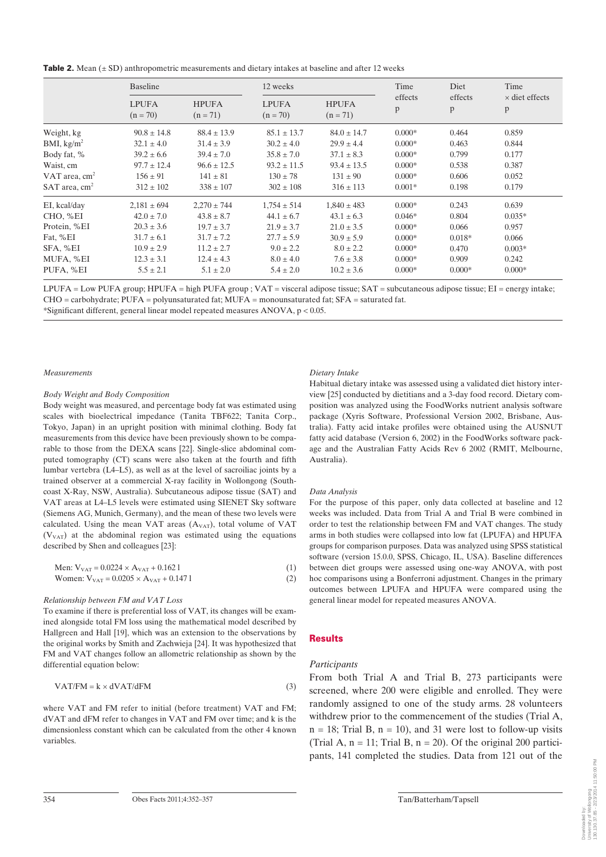**Table 2.** Mean ( $\pm$  SD) anthropometric measurements and dietary intakes at baseline and after 12 weeks

|                   | <b>Baseline</b> |                 | 12 weeks        |                 | Time     | Diet     | Time                  |
|-------------------|-----------------|-----------------|-----------------|-----------------|----------|----------|-----------------------|
|                   | <b>LPUFA</b>    | <b>HPUFA</b>    | <b>LPUFA</b>    | <b>HPUFA</b>    | effects  | effects  | $\times$ diet effects |
|                   | $(n = 70)$      | $(n = 71)$      | $(n = 70)$      | $(n = 71)$      | p        | p        | p                     |
| Weight, kg        | $90.8 \pm 14.8$ | $88.4 \pm 13.9$ | $85.1 \pm 13.7$ | $84.0 \pm 14.7$ | $0.000*$ | 0.464    | 0.859                 |
| BMI, $kg/m2$      | $32.1 \pm 4.0$  | $31.4 \pm 3.9$  | $30.2 \pm 4.0$  | $29.9 \pm 4.4$  | $0.000*$ | 0.463    | 0.844                 |
| Body fat, %       | $39.2 \pm 6.6$  | $39.4 \pm 7.0$  | $35.8 \pm 7.0$  | $37.1 \pm 8.3$  | $0.000*$ | 0.799    | 0.177                 |
| Waist, cm         | $97.7 \pm 12.4$ | $96.6 \pm 12.5$ | $93.2 \pm 11.5$ | $93.4 \pm 13.5$ | $0.000*$ | 0.538    | 0.387                 |
| VAT area, $cm2$   | $156 \pm 91$    | $141 \pm 81$    | $130 \pm 78$    | $131 \pm 90$    | $0.000*$ | 0.606    | 0.052                 |
| $SAT$ area, $cm2$ | $312 \pm 102$   | $338 \pm 107$   | $302 \pm 108$   | $316 \pm 113$   | $0.001*$ | 0.198    | 0.179                 |
| EI, kcal/day      | $2,181 \pm 694$ | $2,270 \pm 744$ | $1,754 \pm 514$ | $1,840 \pm 483$ | $0.000*$ | 0.243    | 0.639                 |
| CHO. %EI          | $42.0 \pm 7.0$  | $43.8 \pm 8.7$  | $44.1 \pm 6.7$  | $43.1 \pm 6.3$  | $0.046*$ | 0.804    | $0.035*$              |
| Protein, %EI      | $20.3 \pm 3.6$  | $19.7 \pm 3.7$  | $21.9 \pm 3.7$  | $21.0 \pm 3.5$  | $0.000*$ | 0.066    | 0.957                 |
| Fat, %EI          | $31.7 \pm 6.1$  | $31.7 \pm 7.2$  | $27.7 \pm 5.9$  | $30.9 \pm 5.9$  | $0.000*$ | $0.018*$ | 0.066                 |
| SFA, %EI          | $10.9 \pm 2.9$  | $11.2 \pm 2.7$  | $9.0 \pm 2.2$   | $8.0 \pm 2.2$   | $0.000*$ | 0.470    | $0.003*$              |
| MUFA, %EI         | $12.3 \pm 3.1$  | $12.4 \pm 4.3$  | $8.0 \pm 4.0$   | $7.6 \pm 3.8$   | $0.000*$ | 0.909    | 0.242                 |
| PUFA, %EI         | $5.5 \pm 2.1$   | $5.1 \pm 2.0$   | $5.4 \pm 2.0$   | $10.2 \pm 3.6$  | $0.000*$ | $0.000*$ | $0.000*$              |

LPUFA = Low PUFA group; HPUFA = high PUFA group ; VAT = visceral adipose tissue; SAT = subcutaneous adipose tissue; EI = energy intake; CHO = carbohydrate; PUFA = polyunsaturated fat; MUFA = monounsaturated fat; SFA = saturated fat.

\*Significant different, general linear model repeated measures ANOVA, p < 0.05.

#### *Measurements*

### *Body Weight and Body Composition*

Body weight was measured, and percentage body fat was estimated using scales with bioelectrical impedance (Tanita TBF622; Tanita Corp., Tokyo, Japan) in an upright position with minimal clothing. Body fat measurements from this device have been previously shown to be comparable to those from the DEXA scans [22]. Single-slice abdominal computed tomography (CT) scans were also taken at the fourth and fifth lumbar vertebra (L4–L5), as well as at the level of sacroiliac joints by a trained observer at a commercial X-ray facility in Wollongong (Southcoast X-Ray, NSW, Australia). Subcutaneous adipose tissue (SAT) and VAT areas at L4–L5 levels were estimated using SIENET Sky software (Siemens AG, Munich, Germany), and the mean of these two levels were calculated. Using the mean VAT areas  $(A<sub>VAT</sub>)$ , total volume of VAT  $(V<sub>VAT</sub>)$  at the abdominal region was estimated using the equations described by Shen and colleagues [23]:

Men: 
$$
V_{VAT} = 0.0224 \times A_{VAT} + 0.1621
$$

\nWomen: 
$$
V_{VAT} = 0.0205 \times A_{VAT} + 0.1471
$$

\n(2)

#### *Relationship between FM and VAT Loss*

To examine if there is preferential loss of VAT, its changes will be examined alongside total FM loss using the mathematical model described by Hallgreen and Hall [19], which was an extension to the observations by the original works by Smith and Zachwieja [24]. It was hypothesized that FM and VAT changes follow an allometric relationship as shown by the differential equation below:

$$
VAT/FM = k \times dVAT/dFM
$$
 (3)

where VAT and FM refer to initial (before treatment) VAT and FM; dVAT and dFM refer to changes in VAT and FM over time; and k is the dimensionless constant which can be calculated from the other 4 known variables.

### *Dietary Intake*

Habitual dietary intake was assessed using a validated diet history interview [25] conducted by dietitians and a 3-day food record. Dietary composition was analyzed using the FoodWorks nutrient analysis software package (Xyris Software, Professional Version 2002, Brisbane, Australia). Fatty acid intake profiles were obtained using the AUSNUT fatty acid database (Version 6, 2002) in the FoodWorks software package and the Australian Fatty Acids Rev 6 2002 (RMIT, Melbourne, Australia).

#### *Data Analysis*

For the purpose of this paper, only data collected at baseline and 12 weeks was included. Data from Trial A and Trial B were combined in order to test the relationship between FM and VAT changes. The study arms in both studies were collapsed into low fat (LPUFA) and HPUFA groups for comparison purposes. Data was analyzed using SPSS statistical software (version 15.0.0, SPSS, Chicago, IL, USA). Baseline differences between diet groups were assessed using one-way ANOVA, with post hoc comparisons using a Bonferroni adjustment. Changes in the primary outcomes between LPUFA and HPUFA were compared using the general linear model for repeated measures ANOVA.

### **Results**

### *Participants*

From both Trial A and Trial B, 273 participants were screened, where 200 were eligible and enrolled. They were randomly assigned to one of the study arms. 28 volunteers withdrew prior to the commencement of the studies (Trial A,  $n = 18$ ; Trial B,  $n = 10$ ), and 31 were lost to follow-up visits (Trial A,  $n = 11$ ; Trial B,  $n = 20$ ). Of the original 200 participants, 141 completed the studies. Data from 121 out of the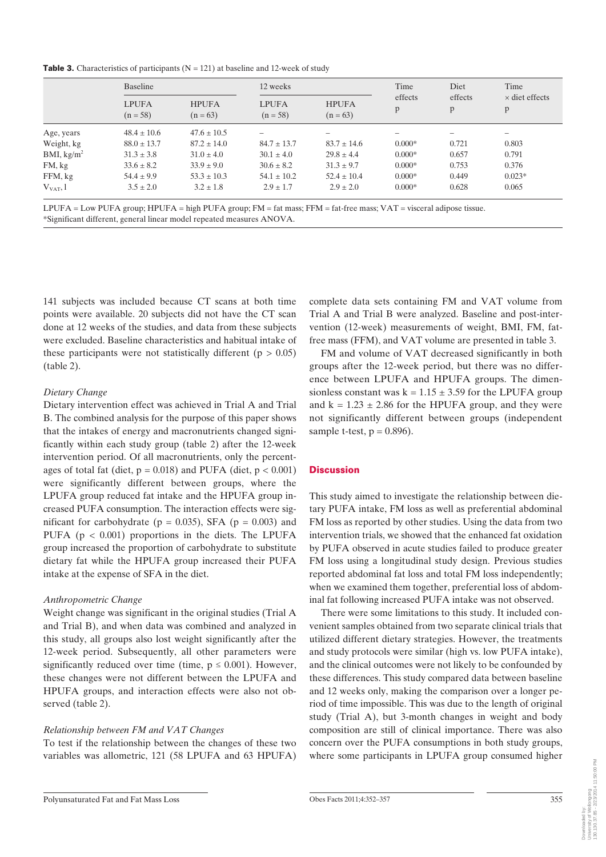**Table 3.** Characteristics of participants  $(N = 121)$  at baseline and 12-week of study

|                        | Baseline                   |                            | 12 weeks                   |                            | Time         | Diet         | Time                       |
|------------------------|----------------------------|----------------------------|----------------------------|----------------------------|--------------|--------------|----------------------------|
|                        | <b>LPUFA</b><br>$(n = 58)$ | <b>HPUFA</b><br>$(n = 63)$ | <b>LPUFA</b><br>$(n = 58)$ | <b>HPUFA</b><br>$(n = 63)$ | effects<br>p | effects<br>p | $\times$ diet effects<br>p |
| Age, years             | $48.4 + 10.6$              | $47.6 \pm 10.5$            |                            | -                          |              |              |                            |
| Weight, kg             | $88.0 \pm 13.7$            | $87.2 \pm 14.0$            | $84.7 \pm 13.7$            | $83.7 \pm 14.6$            | $0.000*$     | 0.721        | 0.803                      |
| BMI, kg/m <sup>2</sup> | $31.3 \pm 3.8$             | $31.0 \pm 4.0$             | $30.1 \pm 4.0$             | $29.8 + 4.4$               | $0.000*$     | 0.657        | 0.791                      |
| FM, kg                 | $33.6 \pm 8.2$             | $33.9 \pm 9.0$             | $30.6 \pm 8.2$             | $31.3 + 9.7$               | $0.000*$     | 0.753        | 0.376                      |
| FFM, kg                | $54.4 \pm 9.9$             | $53.3 \pm 10.3$            | $54.1 \pm 10.2$            | $52.4 \pm 10.4$            | $0.000*$     | 0.449        | $0.023*$                   |
| $V_{VAT}$ , 1          | $3.5 \pm 2.0$              | $3.2 \pm 1.8$              | $2.9 \pm 1.7$              | $2.9 \pm 2.0$              | $0.000*$     | 0.628        | 0.065                      |

LPUFA = Low PUFA group; HPUFA = high PUFA group; FM = fat mass; FFM = fat-free mass; VAT = visceral adipose tissue. \*Significant different, general linear model repeated measures ANOVA.

141 subjects was included because CT scans at both time points were available. 20 subjects did not have the CT scan done at 12 weeks of the studies, and data from these subjects were excluded. Baseline characteristics and habitual intake of these participants were not statistically different ( $p > 0.05$ ) (table 2).

# *Dietary Change*

Dietary intervention effect was achieved in Trial A and Trial B. The combined analysis for the purpose of this paper shows that the intakes of energy and macronutrients changed significantly within each study group (table 2) after the 12-week intervention period. Of all macronutrients, only the percentages of total fat (diet,  $p = 0.018$ ) and PUFA (diet,  $p < 0.001$ ) were significantly different between groups, where the LPUFA group reduced fat intake and the HPUFA group increased PUFA consumption. The interaction effects were significant for carbohydrate ( $p = 0.035$ ), SFA ( $p = 0.003$ ) and PUFA  $(p < 0.001)$  proportions in the diets. The LPUFA group increased the proportion of carbohydrate to substitute dietary fat while the HPUFA group increased their PUFA intake at the expense of SFA in the diet.

# *Anthropometric Change*

Weight change was significant in the original studies (Trial A and Trial B), and when data was combined and analyzed in this study, all groups also lost weight significantly after the 12-week period. Subsequently, all other parameters were significantly reduced over time (time,  $p \le 0.001$ ). However, these changes were not different between the LPUFA and HPUFA groups, and interaction effects were also not observed (table 2).

# *Relationship between FM and VAT Changes*

To test if the relationship between the changes of these two variables was allometric, 121 (58 LPUFA and 63 HPUFA) complete data sets containing FM and VAT volume from Trial A and Trial B were analyzed. Baseline and post-intervention (12-week) measurements of weight, BMI, FM, fatfree mass (FFM), and VAT volume are presented in table 3.

FM and volume of VAT decreased significantly in both groups after the 12-week period, but there was no difference between LPUFA and HPUFA groups. The dimensionless constant was  $k = 1.15 \pm 3.59$  for the LPUFA group and  $k = 1.23 \pm 2.86$  for the HPUFA group, and they were not significantly different between groups (independent sample t-test,  $p = 0.896$ ).

# **Discussion**

This study aimed to investigate the relationship between dietary PUFA intake, FM loss as well as preferential abdominal FM loss as reported by other studies. Using the data from two intervention trials, we showed that the enhanced fat oxidation by PUFA observed in acute studies failed to produce greater FM loss using a longitudinal study design. Previous studies reported abdominal fat loss and total FM loss independently; when we examined them together, preferential loss of abdominal fat following increased PUFA intake was not observed.

There were some limitations to this study. It included convenient samples obtained from two separate clinical trials that utilized different dietary strategies. However, the treatments and study protocols were similar (high vs. low PUFA intake), and the clinical outcomes were not likely to be confounded by these differences. This study compared data between baseline and 12 weeks only, making the comparison over a longer period of time impossible. This was due to the length of original study (Trial A), but 3-month changes in weight and body composition are still of clinical importance. There was also concern over the PUFA consumptions in both study groups, where some participants in LPUFA group consumed higher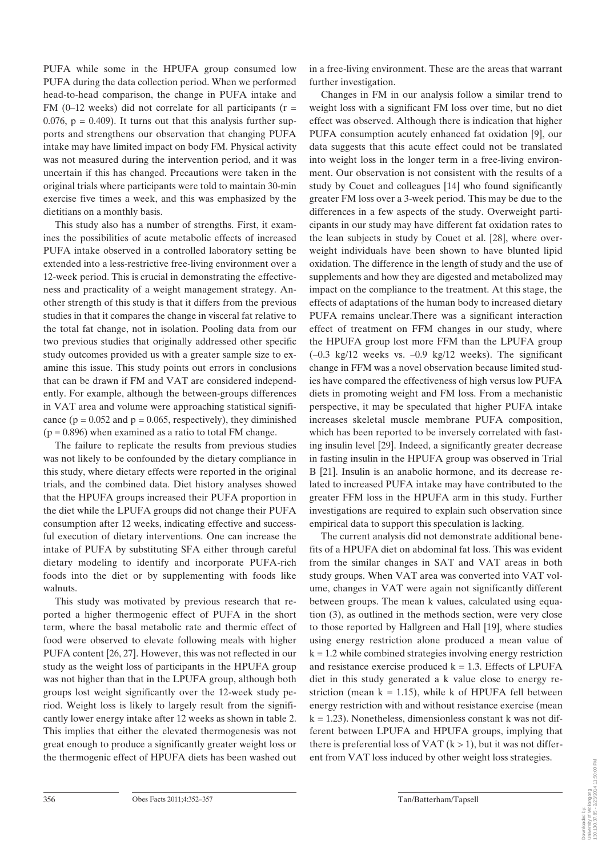PUFA while some in the HPUFA group consumed low PUFA during the data collection period. When we performed head-to-head comparison, the change in PUFA intake and FM (0–12 weeks) did not correlate for all participants ( $r =$ 0.076,  $p = 0.409$ ). It turns out that this analysis further supports and strengthens our observation that changing PUFA intake may have limited impact on body FM. Physical activity was not measured during the intervention period, and it was uncertain if this has changed. Precautions were taken in the original trials where participants were told to maintain 30-min exercise five times a week, and this was emphasized by the dietitians on a monthly basis.

This study also has a number of strengths. First, it examines the possibilities of acute metabolic effects of increased PUFA intake observed in a controlled laboratory setting be extended into a less-restrictive free-living environment over a 12-week period. This is crucial in demonstrating the effectiveness and practicality of a weight management strategy. Another strength of this study is that it differs from the previous studies in that it compares the change in visceral fat relative to the total fat change, not in isolation. Pooling data from our two previous studies that originally addressed other specific study outcomes provided us with a greater sample size to examine this issue. This study points out errors in conclusions that can be drawn if FM and VAT are considered independently. For example, although the between-groups differences in VAT area and volume were approaching statistical significance ( $p = 0.052$  and  $p = 0.065$ , respectively), they diminished  $(p = 0.896)$  when examined as a ratio to total FM change.

The failure to replicate the results from previous studies was not likely to be confounded by the dietary compliance in this study, where dietary effects were reported in the original trials, and the combined data. Diet history analyses showed that the HPUFA groups increased their PUFA proportion in the diet while the LPUFA groups did not change their PUFA consumption after 12 weeks, indicating effective and successful execution of dietary interventions. One can increase the intake of PUFA by substituting SFA either through careful dietary modeling to identify and incorporate PUFA-rich foods into the diet or by supplementing with foods like walnuts.

This study was motivated by previous research that reported a higher thermogenic effect of PUFA in the short term, where the basal metabolic rate and thermic effect of food were observed to elevate following meals with higher PUFA content [26, 27]. However, this was not reflected in our study as the weight loss of participants in the HPUFA group was not higher than that in the LPUFA group, although both groups lost weight significantly over the 12-week study period. Weight loss is likely to largely result from the significantly lower energy intake after 12 weeks as shown in table 2. This implies that either the elevated thermogenesis was not great enough to produce a significantly greater weight loss or the thermogenic effect of HPUFA diets has been washed out in a free-living environment. These are the areas that warrant further investigation.

Changes in FM in our analysis follow a similar trend to weight loss with a significant FM loss over time, but no diet effect was observed. Although there is indication that higher PUFA consumption acutely enhanced fat oxidation [9], our data suggests that this acute effect could not be translated into weight loss in the longer term in a free-living environment. Our observation is not consistent with the results of a study by Couet and colleagues [14] who found significantly greater FM loss over a 3-week period. This may be due to the differences in a few aspects of the study. Overweight participants in our study may have different fat oxidation rates to the lean subjects in study by Couet et al. [28], where overweight individuals have been shown to have blunted lipid oxidation. The difference in the length of study and the use of supplements and how they are digested and metabolized may impact on the compliance to the treatment. At this stage, the effects of adaptations of the human body to increased dietary PUFA remains unclear.There was a significant interaction effect of treatment on FFM changes in our study, where the HPUFA group lost more FFM than the LPUFA group (–0.3 kg/12 weeks vs. –0.9 kg/12 weeks). The significant change in FFM was a novel observation because limited studies have compared the effectiveness of high versus low PUFA diets in promoting weight and FM loss. From a mechanistic perspective, it may be speculated that higher PUFA intake increases skeletal muscle membrane PUFA composition, which has been reported to be inversely correlated with fasting insulin level [29]. Indeed, a significantly greater decrease in fasting insulin in the HPUFA group was observed in Trial B [21]. Insulin is an anabolic hormone, and its decrease related to increased PUFA intake may have contributed to the greater FFM loss in the HPUFA arm in this study. Further investigations are required to explain such observation since empirical data to support this speculation is lacking.

The current analysis did not demonstrate additional benefits of a HPUFA diet on abdominal fat loss. This was evident from the similar changes in SAT and VAT areas in both study groups. When VAT area was converted into VAT volume, changes in VAT were again not significantly different between groups. The mean k values, calculated using equation (3), as outlined in the methods section, were very close to those reported by Hallgreen and Hall [19], where studies using energy restriction alone produced a mean value of  $k = 1.2$  while combined strategies involving energy restriction and resistance exercise produced  $k = 1.3$ . Effects of LPUFA diet in this study generated a k value close to energy restriction (mean  $k = 1.15$ ), while k of HPUFA fell between energy restriction with and without resistance exercise (mean  $k = 1.23$ ). Nonetheless, dimensionless constant k was not different between LPUFA and HPUFA groups, implying that there is preferential loss of VAT  $(k > 1)$ , but it was not different from VAT loss induced by other weight loss strategies.